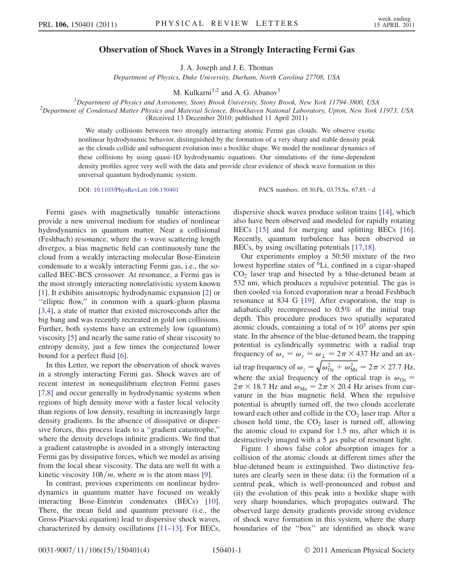## Observation of Shock Waves in a Strongly Interacting Fermi Gas

J. A. Joseph and J. E. Thomas

Department of Physics, Duke University, Durham, North Carolina 27708, USA

M. Kulkarni<sup>1,2</sup> and A. G. Abanov<sup>1</sup>

<sup>1</sup>Department of Physics and Astronomy, Stony Brook University, Stony Brook, New York 11794-3800, USA<br><sup>2</sup>Department of Condensed Matter Physics and Material Science, Prockhauen National Laboratory, Unton New York

 $2$ Department of Condensed Matter Physics and Material Science, Brookhaven National Laboratory, Upton, New York 11973, USA (Received 13 December 2010; published 11 April 2011)

> We study collisions between two strongly interacting atomic Fermi gas clouds. We observe exotic nonlinear hydrodynamic behavior, distinguished by the formation of a very sharp and stable density peak as the clouds collide and subsequent evolution into a boxlike shape. We model the nonlinear dynamics of these collisions by using quasi-1D hydrodynamic equations. Our simulations of the time-dependent density profiles agree very well with the data and provide clear evidence of shock wave formation in this universal quantum hydrodynamic system.

DOI: [10.1103/PhysRevLett.106.150401](http://dx.doi.org/10.1103/PhysRevLett.106.150401) PACS numbers: 05.30.Fk, 03.75.Ss, 67.85.d

Fermi gases with magnetically tunable interactions provide a new universal medium for studies of nonlinear hydrodynamics in quantum matter. Near a collisional (Feshbach) resonance, where the s-wave scattering length diverges, a bias magnetic field can continuously tune the cloud from a weakly interacting molecular Bose-Einstein condensate to a weakly interacting Fermi gas, i.e., the socalled BEC-BCS crossover. At resonance, a Fermi gas is the most strongly interacting nonrelativistic system known [\[1\]](#page-3-0). It exhibits anisotropic hydrodynamic expansion [[2\]](#page-3-1) or ''elliptic flow,'' in common with a quark-gluon plasma [\[3,](#page-3-2)[4](#page-3-3)], a state of matter that existed microseconds after the big bang and was recently recreated in gold ion collisions. Further, both systems have an extremely low (quantum) viscosity [\[5](#page-3-4)] and nearly the same ratio of shear viscosity to entropy density, just a few times the conjectured lower bound for a perfect fluid [[6](#page-3-5)].

In this Letter, we report the observation of shock waves in a strongly interacting Fermi gas. Shock waves are of recent interest in nonequilibrium electron Fermi gases [\[7,](#page-3-6)[8](#page-3-7)] and occur generally in hydrodynamic systems when regions of high density move with a faster local velocity than regions of low density, resulting in increasingly large density gradients. In the absence of dissipative or dispersive forces, this process leads to a ''gradient catastrophe,'' where the density develops infinite gradients. We find that a gradient catastrophe is avoided in a strongly interacting Fermi gas by dissipative forces, which we model as arising from the local shear viscosity. The data are well fit with a kinetic viscosity  $10h/m$ , where m is the atom mass [[9\]](#page-3-8).

In contrast, previous experiments on nonlinear hydrodynamics in quantum matter have focused on weakly interacting Bose-Einstein condensates (BECs) [\[10\]](#page-3-9). There, the mean field and quantum pressure (i.e., the Gross-Pitaevski equation) lead to dispersive shock waves, characterized by density oscillations [[11](#page-3-10)[–13\]](#page-3-11). For BECs, dispersive shock waves produce soliton trains [[14](#page-3-12)], which also have been observed and modeled for rapidly rotating BECs [[15](#page-3-13)] and for merging and splitting BECs [[16\]](#page-3-14). Recently, quantum turbulence has been observed in BECs, by using oscillating potentials [\[17](#page-3-15)[,18\]](#page-3-16).

Our experiments employ a 50:50 mixture of the two lowest hyperfine states of <sup>6</sup>Li, confined in a cigar-shaped  $CO<sub>2</sub>$  laser trap and bisected by a blue-detuned beam at 532 nm, which produces a repulsive potential. The gas is then cooled via forced evaporation near a broad Feshbach resonance at 834 G [\[19](#page-3-17)]. After evaporation, the trap is adiabatically recompressed to 0.5% of the initial trap depth. This procedure produces two spatially separated atomic clouds, containing a total of  $\simeq 10^5$  atoms per spin state. In the absence of the blue-detuned beam, the trapping potential is cylindrically symmetric with a radial trap frequency of  $\omega_x = \omega_y = \omega_{\perp} = 2\pi \times 437$  Hz and an axial trap frequency of  $\omega_z = \sqrt{\omega_{Oz}^2 + \omega_{Mz}^2} = 2\pi \times 27.7$  Hz, where the axial frequency of the optical trap is  $\omega_{Oz}$  =  $2\pi \times 18.7$  Hz and  $\omega_{\text{Mz}} = 2\pi \times 20.4$  Hz arises from curvature in the bias magnetic field. When the repulsive potential is abruptly turned off, the two clouds accelerate toward each other and collide in the  $CO<sub>2</sub>$  laser trap. After a chosen hold time, the  $CO<sub>2</sub>$  laser is turned off, allowing the atomic cloud to expand for 1.5 ms, after which it is destructively imaged with a 5  $\mu$ s pulse of resonant light.

Figure [1](#page-1-0) shows false color absorption images for a collision of the atomic clouds at different times after the blue-detuned beam is extinguished. Two distinctive features are clearly seen in these data: (i) the formation of a central peak, which is well-pronounced and robust and (ii) the evolution of this peak into a boxlike shape with very sharp boundaries, which propagates outward. The observed large density gradients provide strong evidence of shock wave formation in this system, where the sharp boundaries of the ''box'' are identified as shock wave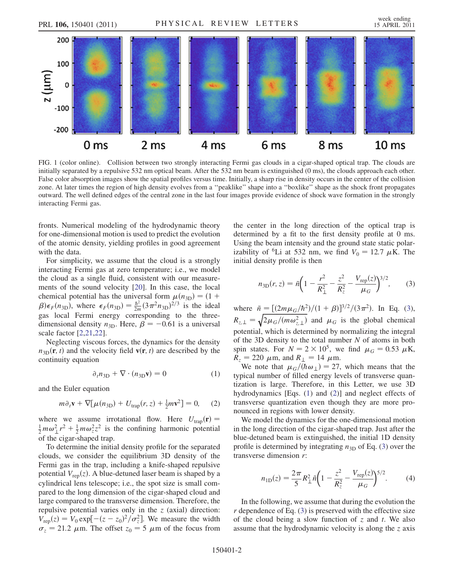<span id="page-1-0"></span>

FIG. 1 (color online). Collision between two strongly interacting Fermi gas clouds in a cigar-shaped optical trap. The clouds are initially separated by a repulsive 532 nm optical beam. After the 532 nm beam is extinguished (0 ms), the clouds approach each other. False color absorption images show the spatial profiles versus time. Initially, a sharp rise in density occurs in the center of the collision zone. At later times the region of high density evolves from a ''peaklike'' shape into a ''boxlike'' shape as the shock front propagates outward. The well defined edges of the central zone in the last four images provide evidence of shock wave formation in the strongly interacting Fermi gas.

6 ms

4 ms

fronts. Numerical modeling of the hydrodynamic theory for one-dimensional motion is used to predict the evolution of the atomic density, yielding profiles in good agreement with the data.

2 ms

0 ms

For simplicity, we assume that the cloud is a strongly interacting Fermi gas at zero temperature; i.e., we model the cloud as a single fluid, consistent with our measurements of the sound velocity [[20](#page-3-18)]. In this case, the local chemical potential has the universal form  $\mu(n_{3D}) = (1 +$  $\beta$ ) $\epsilon_F(n_{3D})$ , where  $\epsilon_F(n_{3D}) = \frac{\hbar^2}{2m}(3\pi^2 n_{3D})^{2/3}$  is the ideal gas local Fermi energy corresponding to the threedimensional density  $n_{3D}$ . Here,  $\beta = -0.61$  is a universal scale factor [\[2](#page-3-1),[21](#page-3-19),[22](#page-3-20)].

<span id="page-1-2"></span>Neglecting viscous forces, the dynamics for the density  $n_{3D}(\mathbf{r}, t)$  and the velocity field  $\mathbf{v}(\mathbf{r}, t)$  are described by the continuity equation

$$
\partial_t n_{3D} + \nabla \cdot (n_{3D} \mathbf{v}) = 0 \tag{1}
$$

<span id="page-1-3"></span>and the Euler equation

$$
m\partial_t \mathbf{v} + \nabla [\mu(n_{3D}) + U_{trap}(r, z) + \frac{1}{2}m\mathbf{v}^2] = 0, \quad (2)
$$

where we assume irrotational flow. Here  $U_{trap}(\mathbf{r}) =$  $\frac{1}{2} m \omega_1^2 r^2 + \frac{1}{2} m \omega_2^2 z^2$  is the confining harmonic potential of the cigar-shaped trap.

To determine the initial density profile for the separated clouds, we consider the equilibrium 3D density of the Fermi gas in the trap, including a knife-shaped repulsive potential  $V_{\text{rep}}(z)$ . A blue-detuned laser beam is shaped by a cylindrical lens telescope; i.e., the spot size is small compared to the long dimension of the cigar-shaped cloud and large compared to the transverse dimension. Therefore, the repulsive potential varies only in the  $z$  (axial) direction:  $V_{\rm rep}(z) = V_0 \exp[-(z-z_0)^2/\sigma_z^2]$ . We measure the width  $\sigma_z = 21.2 \mu \text{m}$ . The offset  $z_0 = 5 \mu \text{m}$  of the focus from the center in the long direction of the optical trap is determined by a fit to the first density profile at 0 ms. Using the beam intensity and the ground state static polarizability of <sup>6</sup>Li at 532 nm, we find  $V_0 = 12.7 \mu$ K. The initial density profile is then

8 ms

<span id="page-1-1"></span>
$$
n_{3D}(r, z) = \tilde{n} \left( 1 - \frac{r^2}{R_{\perp}^2} - \frac{z^2}{R_z^2} - \frac{V_{\rm rep}(z)}{\mu_G} \right)^{3/2},\qquad(3)
$$

where  $\tilde{n} = \frac{[(2m\mu_G/\hbar^2)/(1+\beta)]^{3/2}}{(3\pi^2)}$ . In Eq. ([3\)](#page-1-1),  $R_{z, \perp} = \sqrt{2\mu_G/(m\omega_{z, \perp}^2)}$  and  $\mu_G$  is the global chemical potential, which is determined by normalizing the integral of the 3D density to the total number  $N$  of atoms in both spin states. For  $N = 2 \times 10^5$ , we find  $\mu_G = 0.53 \mu K$ ,  $R_z = 220 \mu \text{m}$ , and  $R_{\perp} = 14 \mu \text{m}$ .

We note that  $\mu_G/(\hbar \omega) = 27$ , which means that the typical number of filled energy levels of transverse quantization is large. Therefore, in this Letter, we use 3D hydrodynamics [Eqs. [\(1](#page-1-2)) and [\(2](#page-1-3))] and neglect effects of transverse quantization even though they are more pronounced in regions with lower density.

We model the dynamics for the one-dimensional motion in the long direction of the cigar-shaped trap. Just after the blue-detuned beam is extinguished, the initial 1D density profile is determined by integrating  $n_{3D}$  $n_{3D}$  $n_{3D}$  of Eq. (3) over the transverse dimension r:

$$
n_{\rm 1D}(z) = \frac{2\pi}{5} R_{\perp}^2 \tilde{n} \left( 1 - \frac{z^2}{R_z^2} - \frac{V_{\rm rep}(z)}{\mu_G} \right)^{5/2} . \tag{4}
$$

In the following, we assume that during the evolution the  $r$  dependence of Eq. [\(3](#page-1-1)) is preserved with the effective size of the cloud being a slow function of z and t. We also assume that the hydrodynamic velocity is along the z axis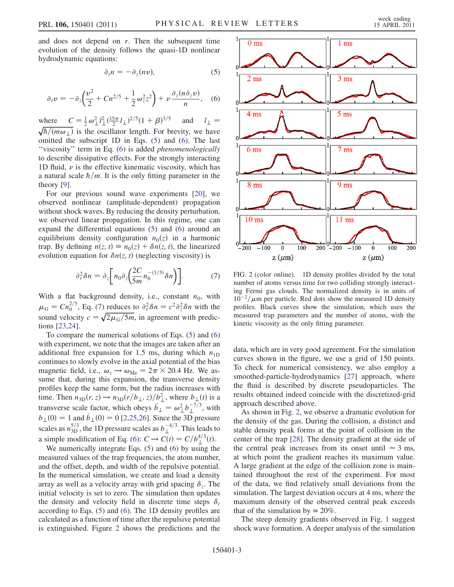<span id="page-2-1"></span>and does not depend on  $r$ . Then the subsequent time evolution of the density follows the quasi-1D nonlinear hydrodynamic equations:

$$
\partial_t n = -\partial_z(n\upsilon),\tag{5}
$$

$$
\partial_t v = -\partial_z \left(\frac{v^2}{2} + Cn^{2/5} + \frac{1}{2}\omega_z^2 z^2\right) + \nu \frac{\partial_z(n\partial_z v)}{n}, \quad (6)
$$

<span id="page-2-0"></span>where  $C = \frac{1}{2} \omega_{\perp}^2 l_{\perp}^2 (\frac{15\pi}{2} l_{\perp})^{2/5} (1 + \beta)^{3/5}$  and  $l_{\perp} =$  $\sqrt{\hbar/(m\omega_{\perp})}$  is the oscillator length. For brevity, we have omitted the subscript 1D in Eqs. [\(5\)](#page-2-0) and ([6\)](#page-2-1). The last "viscosity" term in Eq. ([6\)](#page-2-1) is added *phenomenologically* to describe dissipative effects. For the strongly interacting 1D fluid,  $\nu$  is the effective kinematic viscosity, which has a natural scale  $\hbar/m$ . It is the only fitting parameter in the theory [\[9](#page-3-8)].

For our previous sound wave experiments [[20\]](#page-3-18), we observed nonlinear (amplitude-dependent) propagation without shock waves. By reducing the density perturbation, we observed linear propagation. In this regime, one can expand the differential equations ([5\)](#page-2-0) and [\(6](#page-2-1)) around an equilibrium density configuration  $n_0(z)$  in a harmonic trap. By defining  $n(z, t) \equiv n_0(z) + \delta n(z, t)$ , the linearized evolution equation for  $\delta n(z, t)$  (neglecting viscosity) is

$$
\partial_t^2 \delta n = \partial_z \bigg[ n_0 \partial_z \bigg( \frac{2C}{5m} n_0^{-(3/5)} \delta n \bigg) \bigg]. \tag{7}
$$

<span id="page-2-2"></span>With a flat background density, i.e., constant  $n_0$ , with  $\mu_G = C n_0^{2/5}$ , Eq. [\(7](#page-2-2)) reduces to  $\partial_t^2 \delta n = c^2 \partial_z^2 \delta n$  with the sound velocity  $c = \sqrt{2\mu_G/5m}$ , in agreement with predictions [[23](#page-3-21),[24](#page-3-22)].

To compare the numerical solutions of Eqs. ([5\)](#page-2-0) and [\(6\)](#page-2-1) with experiment, we note that the images are taken after an additional free expansion for 1.5 ms, during which  $n_{1D}$ continues to slowly evolve in the axial potential of the bias magnetic field, i.e.,  $\omega_z \rightarrow \omega_{Mz} = 2\pi \times 20.4$  Hz. We assume that, during this expansion, the transverse density profiles keep the same form, but the radius increases with time. Then  $n_{3D}(r, z) \rightarrow n_{3D}(r/b_{\perp}, z)/b_{\perp}^2$ , where  $b_{\perp}(t)$  is a transverse scale factor, which obeys  $\ddot{b}_\perp = \omega_\perp^2 b_\perp^{-7/3}$ , with  $b_{\perp}(0) = 1$  and  $\dot{b}_{\perp}(0) = 0$  [\[2,](#page-3-1)[25](#page-3-23)[,26\]](#page-3-24). Since the 3D pressure scales as  $n_{3D}^{5/3}$ , the 1D pressure scales as  $b_{\perp}^{-4/3}$ . This leads to a simple modification of Eq. [\(6](#page-2-1)):  $C \rightarrow C(t) = C/b^{4/3}_\perp(t)$ .

We numerically integrate Eqs. [\(5\)](#page-2-0) and [\(6\)](#page-2-1) by using the measured values of the trap frequencies, the atom number, and the offset, depth, and width of the repulsive potential. In the numerical simulation, we create and load a density array as well as a velocity array with grid spacing  $\delta_z$ . The initial velocity is set to zero. The simulation then updates the density and velocity field in discrete time steps  $\delta_t$ according to Eqs. ([5\)](#page-2-0) and [\(6\)](#page-2-1). The 1D density profiles are calculated as a function of time after the repulsive potential is extinguished. Figure [2](#page-2-3) shows the predictions and the

<span id="page-2-3"></span>

FIG. 2 (color online). 1D density profiles divided by the total number of atoms versus time for two colliding strongly interacting Fermi gas clouds. The normalized density is in units of  $10^{-2}/\mu$ m per particle. Red dots show the measured 1D density profiles. Black curves show the simulation, which uses the measured trap parameters and the number of atoms, with the kinetic viscosity as the only fitting parameter.

data, which are in very good agreement. For the simulation curves shown in the figure, we use a grid of 150 points. To check for numerical consistency, we also employ a smoothed-particle-hydrodynamics [[27](#page-3-25)] approach, where the fluid is described by discrete pseudoparticles. The results obtained indeed coincide with the discretized-grid approach described above.

As shown in Fig. [2](#page-2-3), we observe a dramatic evolution for the density of the gas. During the collision, a distinct and stable density peak forms at the point of collision in the center of the trap [[28](#page-3-26)]. The density gradient at the side of the central peak increases from its onset until  $\approx$  3 ms, at which point the gradient reaches its maximum value. A large gradient at the edge of the collision zone is maintained throughout the rest of the experiment. For most of the data, we find relatively small deviations from the simulation. The largest deviation occurs at 4 ms, where the maximum density of the observed central peak exceeds that of the simulation by  $\simeq 20\%$ .

The steep density gradients observed in Fig. [1](#page-1-0) suggest shock wave formation. A deeper analysis of the simulation